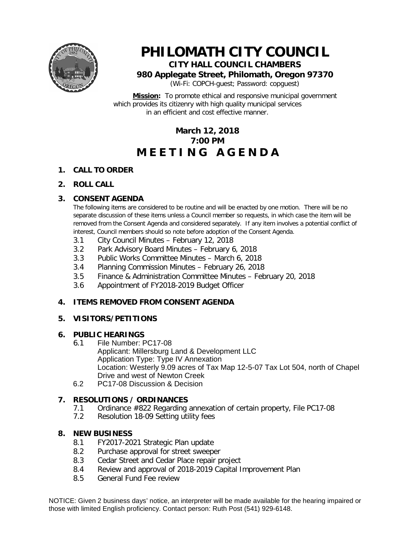

# **PHILOMATH CITY COUNCIL CITY HALL COUNCIL CHAMBERS**

**980 Applegate Street, Philomath, Oregon 97370**

(Wi-Fi: COPCH-guest; Password: copguest)

**Mission:** To promote ethical and responsive municipal government which provides its citizenry with high quality municipal services in an efficient and cost effective manner.

# **March 12, 2018 7:00 PM M E E T I N G A G E N D A**

#### **1. CALL TO ORDER**

#### **2. ROLL CALL**

# **3. CONSENT AGENDA**

The following items are considered to be routine and will be enacted by one motion. There will be no separate discussion of these items unless a Council member so requests, in which case the item will be removed from the Consent Agenda and considered separately. If any item involves a potential conflict of interest, Council members should so note before adoption of the Consent Agenda.

- 3.1 City Council Minutes February 12, 2018
- 3.2 Park Advisory Board Minutes February 6, 2018
- 3.3 Public Works Committee Minutes March 6, 2018
- 3.4 Planning Commission Minutes February 26, 2018
- 3.5 Finance & Administration Committee Minutes February 20, 2018
- 3.6 Appointment of FY2018-2019 Budget Officer

# **4. ITEMS REMOVED FROM CONSENT AGENDA**

# **5. VISITORS/PETITIONS**

#### **6. PUBLIC HEARINGS**

- 6.1 File Number: PC17-08 Applicant: Millersburg Land & Development LLC Application Type: Type IV Annexation Location: Westerly 9.09 acres of Tax Map 12-5-07 Tax Lot 504, north of Chapel Drive and west of Newton Creek
- 6.2 PC17-08 Discussion & Decision

# **7. RESOLUTIONS / ORDINANCES**

- 7.1 Ordinance #822 Regarding annexation of certain property, File PC17-08<br>7.2 Resolution 18-09 Setting utility fees
- Resolution 18-09 Setting utility fees

#### **8. NEW BUSINESS**

- 8.1 FY2017-2021 Strategic Plan update
- 8.2 Purchase approval for street sweeper
- 8.3 Cedar Street and Cedar Place repair project
- 8.4 Review and approval of 2018-2019 Capital Improvement Plan
- 8.5 General Fund Fee review

NOTICE: Given 2 business days' notice, an interpreter will be made available for the hearing impaired or those with limited English proficiency. Contact person: Ruth Post (541) 929-6148.